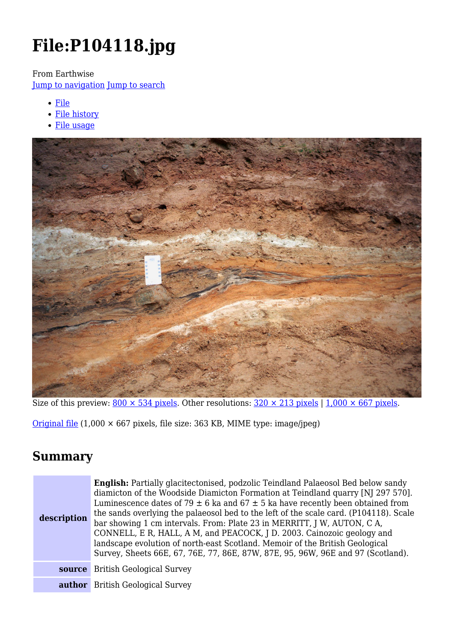# **File:P104118.jpg**

From Earthwise

[Jump to navigation](#page--1-0) [Jump to search](#page--1-0)

- [File](#page--1-0)
- [File history](#page--1-0)
- [File usage](#page--1-0)



Size of this preview:  $800 \times 534$  pixels. Other resolutions:  $320 \times 213$  pixels | 1,000  $\times$  667 pixels.

[Original file](http://earthwise.bgs.ac.uk/images/5/52/P104118.jpg) (1,000 × 667 pixels, file size: 363 KB, MIME type: image/jpeg)

### **Summary**

| description | <b>English:</b> Partially glacitectonised, podzolic Teindland Palaeosol Bed below sandy<br>diamicton of the Woodside Diamicton Formation at Teindland quarry [NJ 297 570].<br>Luminescence dates of 79 $\pm$ 6 ka and 67 $\pm$ 5 ka have recently been obtained from<br>the sands overlying the palaeosol bed to the left of the scale card. (P104118). Scale<br>bar showing 1 cm intervals. From: Plate 23 in MERRITT, J W, AUTON, C A,<br>CONNELL, E R, HALL, A M, and PEACOCK, J D. 2003. Cainozoic geology and<br>landscape evolution of north-east Scotland. Memoir of the British Geological<br>Survey, Sheets 66E, 67, 76E, 77, 86E, 87W, 87E, 95, 96W, 96E and 97 (Scotland). |
|-------------|---------------------------------------------------------------------------------------------------------------------------------------------------------------------------------------------------------------------------------------------------------------------------------------------------------------------------------------------------------------------------------------------------------------------------------------------------------------------------------------------------------------------------------------------------------------------------------------------------------------------------------------------------------------------------------------|
|             | <b>source</b> British Geological Survey                                                                                                                                                                                                                                                                                                                                                                                                                                                                                                                                                                                                                                               |
|             | <b>author</b> British Geological Survey                                                                                                                                                                                                                                                                                                                                                                                                                                                                                                                                                                                                                                               |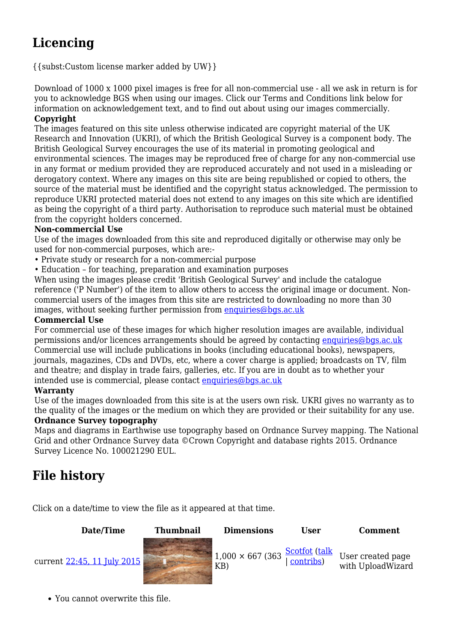## **Licencing**

{{subst:Custom license marker added by UW}}

Download of 1000 x 1000 pixel images is free for all non-commercial use - all we ask in return is for you to acknowledge BGS when using our images. Click our Terms and Conditions link below for information on acknowledgement text, and to find out about using our images commercially. **Copyright**

The images featured on this site unless otherwise indicated are copyright material of the UK Research and Innovation (UKRI), of which the British Geological Survey is a component body. The British Geological Survey encourages the use of its material in promoting geological and environmental sciences. The images may be reproduced free of charge for any non-commercial use in any format or medium provided they are reproduced accurately and not used in a misleading or derogatory context. Where any images on this site are being republished or copied to others, the source of the material must be identified and the copyright status acknowledged. The permission to reproduce UKRI protected material does not extend to any images on this site which are identified as being the copyright of a third party. Authorisation to reproduce such material must be obtained from the copyright holders concerned.

#### **Non-commercial Use**

Use of the images downloaded from this site and reproduced digitally or otherwise may only be used for non-commercial purposes, which are:-

- Private study or research for a non-commercial purpose
- Education for teaching, preparation and examination purposes

When using the images please credit 'British Geological Survey' and include the catalogue reference ('P Number') of the item to allow others to access the original image or document. Noncommercial users of the images from this site are restricted to downloading no more than 30 images, without seeking further permission from [enquiries@bgs.ac.uk](mailto:enquiries@bgs.ac.uk)

#### **Commercial Use**

For commercial use of these images for which higher resolution images are available, individual permissions and/or licences arrangements should be agreed by contacting [enquiries@bgs.ac.uk](mailto:enquiries@bgs.ac.uk) Commercial use will include publications in books (including educational books), newspapers, journals, magazines, CDs and DVDs, etc, where a cover charge is applied; broadcasts on TV, film and theatre; and display in trade fairs, galleries, etc. If you are in doubt as to whether your intended use is commercial, please contact  $enquiries@bas.ac.uk$ 

#### **Warranty**

Use of the images downloaded from this site is at the users own risk. UKRI gives no warranty as to the quality of the images or the medium on which they are provided or their suitability for any use.

#### **Ordnance Survey topography**

Maps and diagrams in Earthwise use topography based on Ordnance Survey mapping. The National Grid and other Ordnance Survey data ©Crown Copyright and database rights 2015. Ordnance Survey Licence No. 100021290 EUL.

### **File history**

Click on a date/time to view the file as it appeared at that time.



You cannot overwrite this file.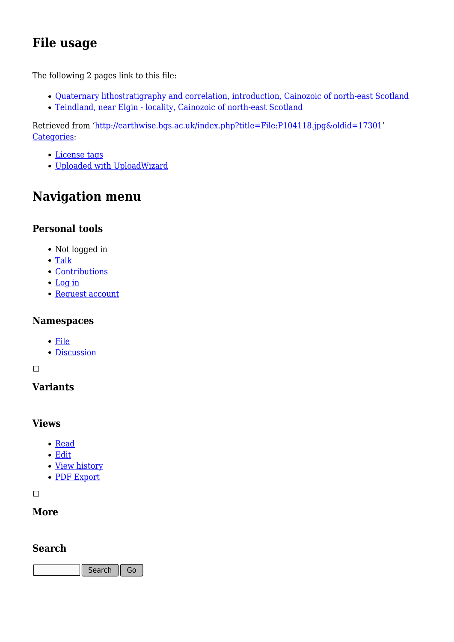### **File usage**

The following 2 pages link to this file:

- [Quaternary lithostratigraphy and correlation, introduction, Cainozoic of north-east Scotland](http://earthwise.bgs.ac.uk/index.php/Quaternary_lithostratigraphy_and_correlation,_introduction,_Cainozoic_of_north-east_Scotland)
- [Teindland, near Elgin locality, Cainozoic of north-east Scotland](http://earthwise.bgs.ac.uk/index.php/Teindland,_near_Elgin_-_locality,_Cainozoic_of_north-east_Scotland)

Retrieved from ['http://earthwise.bgs.ac.uk/index.php?title=File:P104118.jpg&oldid=17301](http://earthwise.bgs.ac.uk/index.php?title=File:P104118.jpg&oldid=17301)' [Categories:](http://earthwise.bgs.ac.uk/index.php/Special:Categories)

- [License tags](http://earthwise.bgs.ac.uk/index.php/Category:License_tags)
- [Uploaded with UploadWizard](http://earthwise.bgs.ac.uk/index.php/Category:Uploaded_with_UploadWizard)

### **Navigation menu**

### **Personal tools**

- Not logged in
- [Talk](http://earthwise.bgs.ac.uk/index.php/Special:MyTalk)
- [Contributions](http://earthwise.bgs.ac.uk/index.php/Special:MyContributions)
- [Log in](http://earthwise.bgs.ac.uk/index.php?title=Special:UserLogin&returnto=File%3AP104118.jpg&returntoquery=action%3Dmpdf)
- [Request account](http://earthwise.bgs.ac.uk/index.php/Special:RequestAccount)

### **Namespaces**

- [File](http://earthwise.bgs.ac.uk/index.php/File:P104118.jpg)
- [Discussion](http://earthwise.bgs.ac.uk/index.php?title=File_talk:P104118.jpg&action=edit&redlink=1)

### $\overline{\phantom{a}}$

### **Variants**

### **Views**

- [Read](http://earthwise.bgs.ac.uk/index.php/File:P104118.jpg)
- [Edit](http://earthwise.bgs.ac.uk/index.php?title=File:P104118.jpg&action=edit)
- [View history](http://earthwise.bgs.ac.uk/index.php?title=File:P104118.jpg&action=history)
- [PDF Export](http://earthwise.bgs.ac.uk/index.php?title=File:P104118.jpg&action=mpdf)

 $\Box$ 

### **More**

### **Search**

Search  $\|$  Go